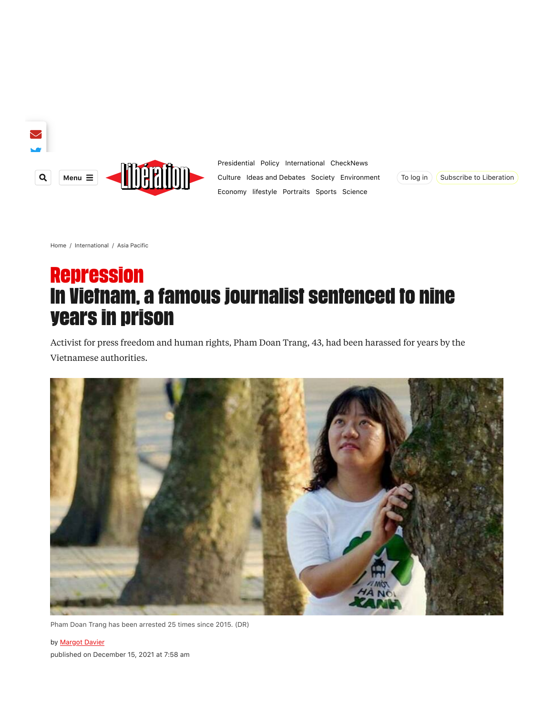

[Presidential](https://www.liberation.fr/dossier/election-presidentielle-2022/) [Policy](https://www.liberation.fr/politique/)  [International](https://www.liberation.fr/international/)  [CheckNews](https://www.liberation.fr/checknews/) [Culture](https://www.liberation.fr/culture/)  [Ideas and Debates](https://www.liberation.fr/idees-et-debats/) [Society](https://www.liberation.fr/societe/)  [Environment](https://www.liberation.fr/environnement/) [Economy](https://www.liberation.fr/economie/) [lifestyle](https://www.liberation.fr/lifestyle/)  [Portraits](https://www.liberation.fr/portraits/) [Sports](https://www.liberation.fr/sports/)  [Science](https://www.liberation.fr/sciences/)



[Home](https://www.liberation.fr/) / [International](https://www.liberation.fr/international/) / [Asia Pacific](https://www.liberation.fr/international/asie-pacifique/)

# Repression In Vietnam, a famous journalist sentenced to nine years in prison

Activist for press freedom and human rights, Pham Doan Trang, 43, had been harassed for years by the Vietnamese authorities.



Pham Doan Trang has been arrested 25 times since 2015. (DR)

by **Margot Davier** published on December 15, 2021 at 7:58 am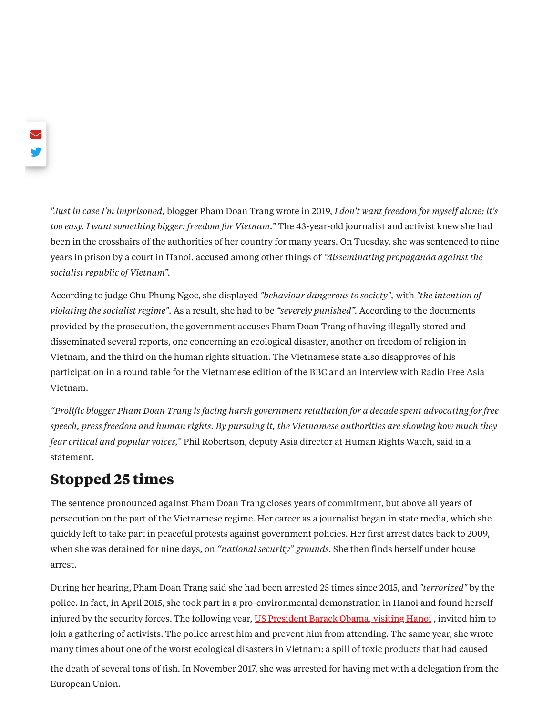*"Just in case I'm imprisoned,* blogger Pham Doan Trang wrote in 2019, *I don't want freedom for myself alone: it's too easy. I want something bigger: freedom for Vietnam."* The 43-year-old journalist and activist knew she had been in the crosshairs of the authorities of her country for many years. On Tuesday, she was sentenced to nine years in prison by a court in Hanoi, accused among other things of *"disseminating propaganda against the socialist republic of Vietnam".*

According to judge Chu Phung Ngoc, she displayed *"behaviour dangerous to society",* with *"the intention of violating the socialist regime".* As a result, she had to be *"severely punished".* According to the documents provided by the prosecution, the government accuses Pham Doan Trang of having illegally stored and disseminated several reports, one concerning an ecological disaster, another on freedom of religion in Vietnam, and the third on the human rights situation. The Vietnamese state also disapproves of his participation in a round table for the Vietnamese edition of the BBC and an interview with Radio Free Asia Vietnam.

"Prolific blogger Pham Doan Trang is facing harsh government retaliation for a decade spent advocating for free speech, press freedom and human rights. By pursuing it, the Vietnamese authorities are showing how much they *fear critical and popular voices,"* Phil Robertson, deputy Asia director at Human Rights Watch, said in a statement.

## **Stopped 25 times**

The sentence pronounced against Pham Doan Trang closes years of commitment, but above all years of persecution on the part of the Vietnamese regime. Her career as a journalist began in state media, which she quickly left to take part in peaceful protests against government policies. Her first arrest dates back to 2009, when she was detained for nine days, on *"national security" grounds.* She then finds herself under house arrest.

During her hearing, Pham Doan Trang said she had been arrested 25 times since 2015, and *"terrorized"* by the police. In fact, in April 2015, she took part in a pro-environmental demonstration in Hanoi and found herself injured by the security forces. The following year, US [President](https://www.liberation.fr/planete/2016/05/24/obama-au-vietnam-au-nom-de-la-democratie-et-des-contrats_1454755/) Barack Obama, visiting Hanoi, invited him to join a gathering of activists. The police arrest him and prevent him from attending. The same year, she wrote many times about one of the worst ecological disasters in Vietnam: a spill of toxic products that had caused

the death of several tons of fish. In November 2017, she was arrested for having met with a delegation from the European Union.